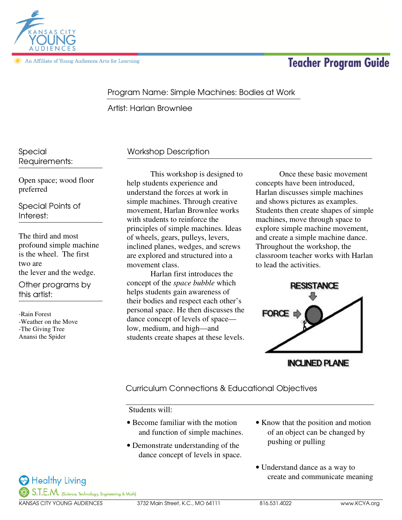

An Affiliate of Young Audiences Arts for Learning

# **Teacher Program Guide**

## Program Name: Simple Machines: Bodies at Work

Artist: Harlan Brownlee

Special Requirements:

Open space; wood floor preferred

Special Points of Interest:

The third and most profound simple machine is the wheel. The first two are the lever and the wedge.

Other programs by this artist:

-Rain Forest -Weather on the Move -The Giving Tree Anansi the Spider

# Workshop Description

 This workshop is designed to help students experience and understand the forces at work in simple machines. Through creative movement, Harlan Brownlee works with students to reinforce the principles of simple machines. Ideas of wheels, gears, pulleys, levers, inclined planes, wedges, and screws are explored and structured into a movement class.

 Harlan first introduces the concept of the *space bubble* which helps students gain awareness of their bodies and respect each other's personal space. He then discusses the dance concept of levels of space low, medium, and high—and students create shapes at these levels.

 Once these basic movement concepts have been introduced, Harlan discusses simple machines and shows pictures as examples. Students then create shapes of simple machines, move through space to explore simple machine movement, and create a simple machine dance. Throughout the workshop, the classroom teacher works with Harlan to lead the activities.



Curriculum Connections & Educational Objectives

Students will:

- Become familiar with the motion and function of simple machines.
- Demonstrate understanding of the dance concept of levels in space.
- Know that the position and motion of an object can be changed by pushing or pulling
- Understand dance as a way to create and communicate meaning

KANSAS CITY YOUNG AUDIENCES 3732 Main Street, K.C., MO 64111 816.531.4022 www.KCYA.org

S.T.E.M. (Science, Technology, Engineering & Math)

Healthy Living